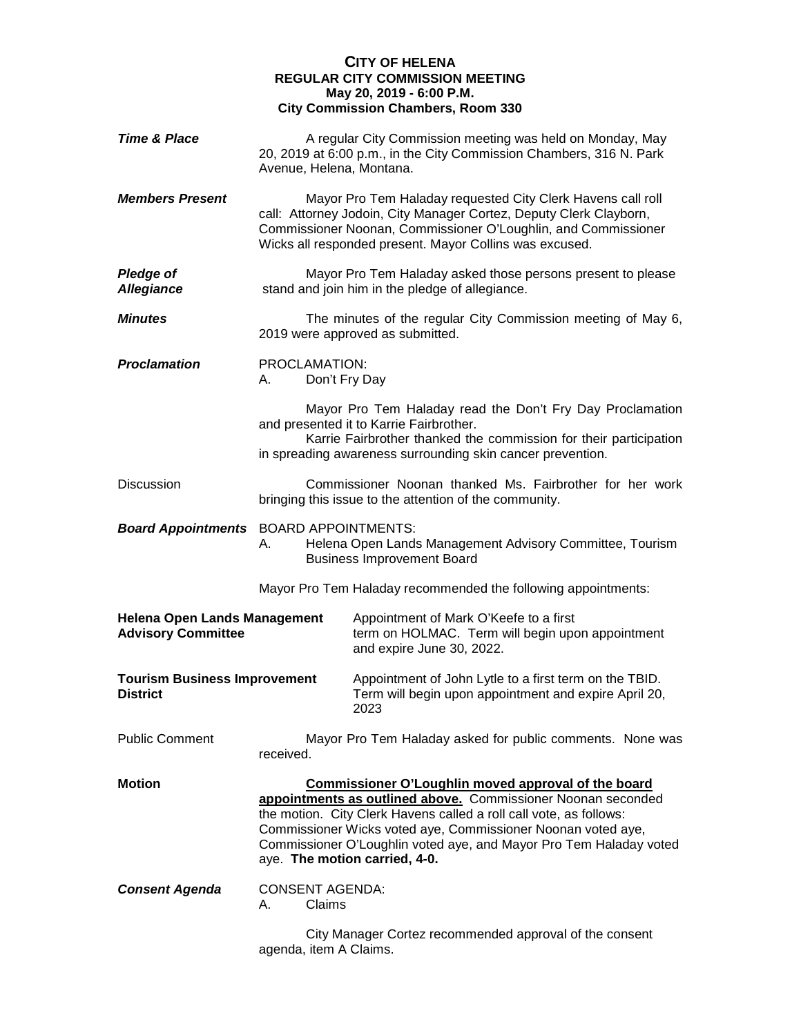## **CITY OF HELENA REGULAR CITY COMMISSION MEETING May 20, 2019 - 6:00 P.M. City Commission Chambers, Room 330**

| <b>Time &amp; Place</b>                                          | Avenue, Helena, Montana.               | A regular City Commission meeting was held on Monday, May<br>20, 2019 at 6:00 p.m., in the City Commission Chambers, 316 N. Park                                                                                                                                                                                                                                 |
|------------------------------------------------------------------|----------------------------------------|------------------------------------------------------------------------------------------------------------------------------------------------------------------------------------------------------------------------------------------------------------------------------------------------------------------------------------------------------------------|
| <b>Members Present</b>                                           |                                        | Mayor Pro Tem Haladay requested City Clerk Havens call roll<br>call: Attorney Jodoin, City Manager Cortez, Deputy Clerk Clayborn,<br>Commissioner Noonan, Commissioner O'Loughlin, and Commissioner<br>Wicks all responded present. Mayor Collins was excused.                                                                                                   |
| <b>Pledge of</b><br><b>Allegiance</b>                            |                                        | Mayor Pro Tem Haladay asked those persons present to please<br>stand and join him in the pledge of allegiance.                                                                                                                                                                                                                                                   |
| <b>Minutes</b>                                                   |                                        | The minutes of the regular City Commission meeting of May 6,<br>2019 were approved as submitted.                                                                                                                                                                                                                                                                 |
| <b>Proclamation</b>                                              | PROCLAMATION:<br>Don't Fry Day<br>А.   |                                                                                                                                                                                                                                                                                                                                                                  |
|                                                                  |                                        | Mayor Pro Tem Haladay read the Don't Fry Day Proclamation<br>and presented it to Karrie Fairbrother.<br>Karrie Fairbrother thanked the commission for their participation<br>in spreading awareness surrounding skin cancer prevention.                                                                                                                          |
| <b>Discussion</b>                                                |                                        | Commissioner Noonan thanked Ms. Fairbrother for her work<br>bringing this issue to the attention of the community.                                                                                                                                                                                                                                               |
| <b>Board Appointments</b> BOARD APPOINTMENTS:                    | А.                                     | Helena Open Lands Management Advisory Committee, Tourism<br><b>Business Improvement Board</b>                                                                                                                                                                                                                                                                    |
|                                                                  |                                        | Mayor Pro Tem Haladay recommended the following appointments:                                                                                                                                                                                                                                                                                                    |
| <b>Helena Open Lands Management</b><br><b>Advisory Committee</b> |                                        | Appointment of Mark O'Keefe to a first<br>term on HOLMAC. Term will begin upon appointment<br>and expire June 30, 2022.                                                                                                                                                                                                                                          |
| <b>Tourism Business Improvement</b><br><b>District</b>           |                                        | Appointment of John Lytle to a first term on the TBID.<br>Term will begin upon appointment and expire April 20,<br>2023                                                                                                                                                                                                                                          |
| <b>Public Comment</b>                                            | received.                              | Mayor Pro Tem Haladay asked for public comments. None was                                                                                                                                                                                                                                                                                                        |
| <b>Motion</b>                                                    |                                        | Commissioner O'Loughlin moved approval of the board<br>appointments as outlined above. Commissioner Noonan seconded<br>the motion. City Clerk Havens called a roll call vote, as follows:<br>Commissioner Wicks voted aye, Commissioner Noonan voted aye,<br>Commissioner O'Loughlin voted aye, and Mayor Pro Tem Haladay voted<br>aye. The motion carried, 4-0. |
| <b>Consent Agenda</b>                                            | <b>CONSENT AGENDA:</b><br>Claims<br>А. |                                                                                                                                                                                                                                                                                                                                                                  |
|                                                                  | agenda, item A Claims.                 | City Manager Cortez recommended approval of the consent                                                                                                                                                                                                                                                                                                          |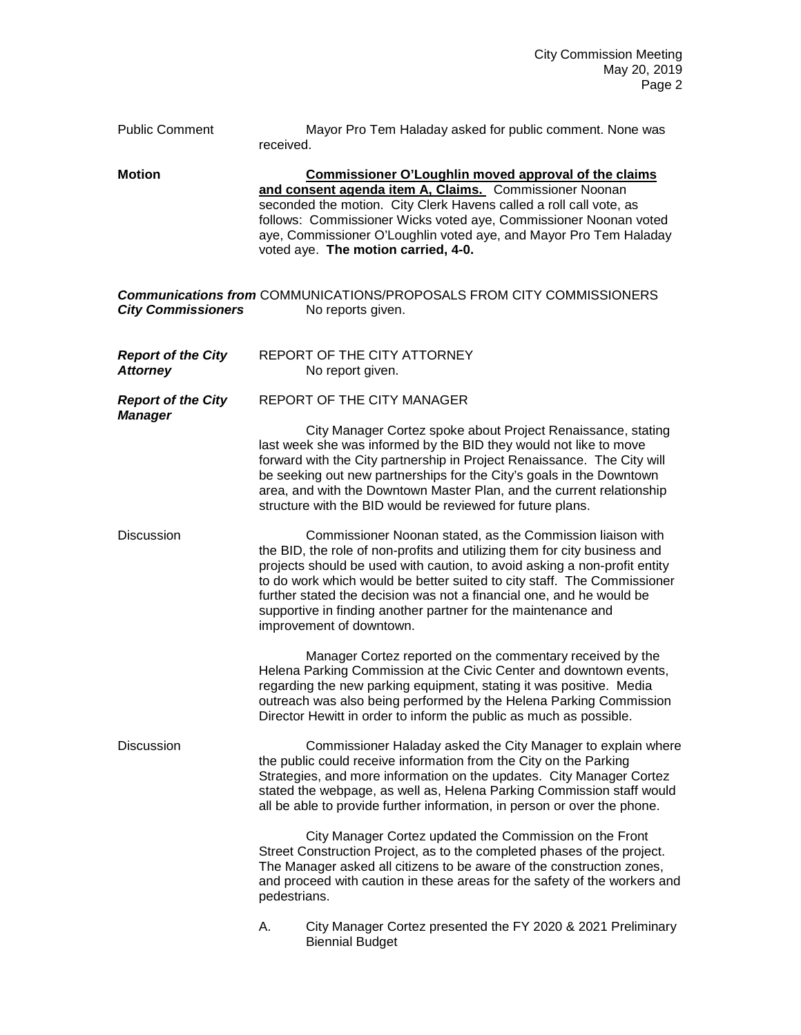| <b>Public Comment</b>                        | Mayor Pro Tem Haladay asked for public comment. None was<br>received.                                                                                                                                                                                                                                                                                                                                                                                                |
|----------------------------------------------|----------------------------------------------------------------------------------------------------------------------------------------------------------------------------------------------------------------------------------------------------------------------------------------------------------------------------------------------------------------------------------------------------------------------------------------------------------------------|
| <b>Motion</b>                                | Commissioner O'Loughlin moved approval of the claims<br>and consent agenda item A, Claims. Commissioner Noonan<br>seconded the motion. City Clerk Havens called a roll call vote, as<br>follows: Commissioner Wicks voted aye, Commissioner Noonan voted<br>aye, Commissioner O'Loughlin voted aye, and Mayor Pro Tem Haladay<br>voted aye. The motion carried, 4-0.                                                                                                 |
| <b>City Commissioners</b>                    | <b>Communications from COMMUNICATIONS/PROPOSALS FROM CITY COMMISSIONERS</b><br>No reports given.                                                                                                                                                                                                                                                                                                                                                                     |
| <b>Report of the City</b><br><b>Attorney</b> | REPORT OF THE CITY ATTORNEY<br>No report given.                                                                                                                                                                                                                                                                                                                                                                                                                      |
| <b>Report of the City</b>                    | REPORT OF THE CITY MANAGER                                                                                                                                                                                                                                                                                                                                                                                                                                           |
| <b>Manager</b>                               | City Manager Cortez spoke about Project Renaissance, stating<br>last week she was informed by the BID they would not like to move<br>forward with the City partnership in Project Renaissance. The City will<br>be seeking out new partnerships for the City's goals in the Downtown<br>area, and with the Downtown Master Plan, and the current relationship<br>structure with the BID would be reviewed for future plans.                                          |
| <b>Discussion</b>                            | Commissioner Noonan stated, as the Commission liaison with<br>the BID, the role of non-profits and utilizing them for city business and<br>projects should be used with caution, to avoid asking a non-profit entity<br>to do work which would be better suited to city staff. The Commissioner<br>further stated the decision was not a financial one, and he would be<br>supportive in finding another partner for the maintenance and<br>improvement of downtown. |
|                                              | Manager Cortez reported on the commentary received by the<br>Helena Parking Commission at the Civic Center and downtown events,<br>regarding the new parking equipment, stating it was positive. Media<br>outreach was also being performed by the Helena Parking Commission<br>Director Hewitt in order to inform the public as much as possible.                                                                                                                   |
| <b>Discussion</b>                            | Commissioner Haladay asked the City Manager to explain where<br>the public could receive information from the City on the Parking<br>Strategies, and more information on the updates. City Manager Cortez<br>stated the webpage, as well as, Helena Parking Commission staff would<br>all be able to provide further information, in person or over the phone.                                                                                                       |
|                                              | City Manager Cortez updated the Commission on the Front<br>Street Construction Project, as to the completed phases of the project.<br>The Manager asked all citizens to be aware of the construction zones,<br>and proceed with caution in these areas for the safety of the workers and<br>pedestrians.                                                                                                                                                             |
|                                              | City Manager Cortez presented the FY 2020 & 2021 Preliminary<br>А.<br><b>Biennial Budget</b>                                                                                                                                                                                                                                                                                                                                                                         |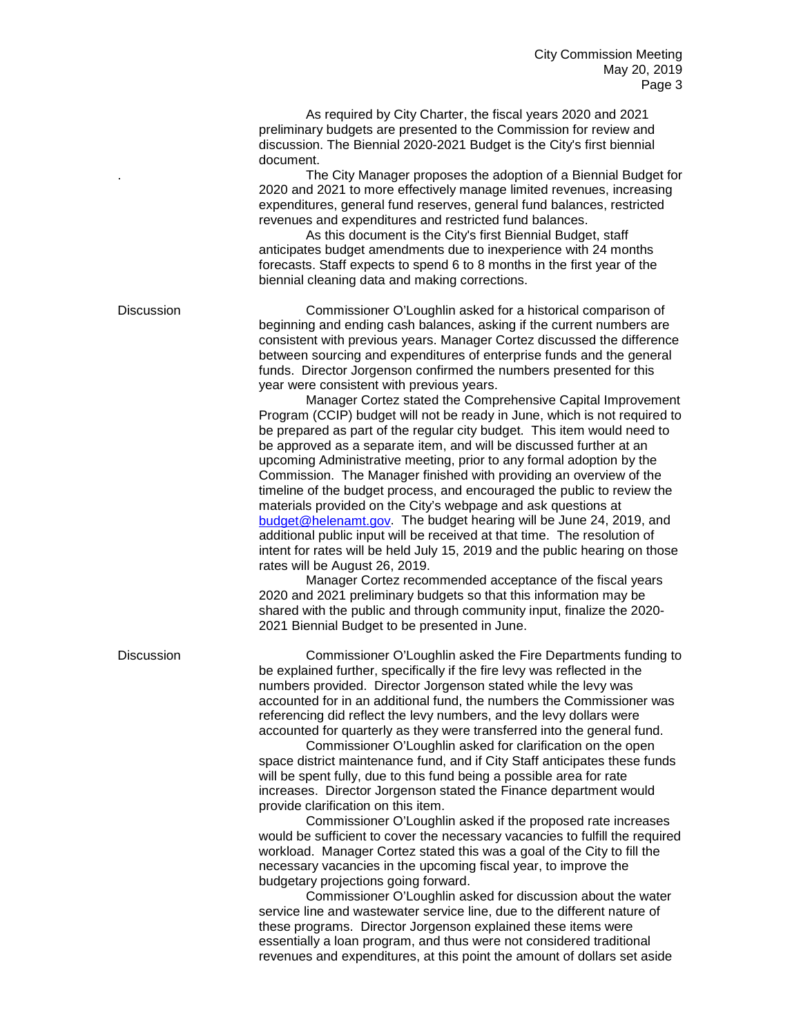As required by City Charter, the fiscal years 2020 and 2021 preliminary budgets are presented to the Commission for review and discussion. The Biennial 2020-2021 Budget is the City's first biennial document.

. The City Manager proposes the adoption of a Biennial Budget for 2020 and 2021 to more effectively manage limited revenues, increasing expenditures, general fund reserves, general fund balances, restricted revenues and expenditures and restricted fund balances.

As this document is the City's first Biennial Budget, staff anticipates budget amendments due to inexperience with 24 months forecasts. Staff expects to spend 6 to 8 months in the first year of the biennial cleaning data and making corrections.

Discussion Commissioner O'Loughlin asked for a historical comparison of beginning and ending cash balances, asking if the current numbers are consistent with previous years. Manager Cortez discussed the difference between sourcing and expenditures of enterprise funds and the general funds. Director Jorgenson confirmed the numbers presented for this year were consistent with previous years.

Manager Cortez stated the Comprehensive Capital Improvement Program (CCIP) budget will not be ready in June, which is not required to be prepared as part of the regular city budget. This item would need to be approved as a separate item, and will be discussed further at an upcoming Administrative meeting, prior to any formal adoption by the Commission. The Manager finished with providing an overview of the timeline of the budget process, and encouraged the public to review the materials provided on the City's webpage and ask questions at [budget@helenamt.gov.](mailto:budget@helenamt.gov) The budget hearing will be June 24, 2019, and additional public input will be received at that time. The resolution of intent for rates will be held July 15, 2019 and the public hearing on those rates will be August 26, 2019.

Manager Cortez recommended acceptance of the fiscal years 2020 and 2021 preliminary budgets so that this information may be shared with the public and through community input, finalize the 2020- 2021 Biennial Budget to be presented in June.

Discussion Commissioner O'Loughlin asked the Fire Departments funding to be explained further, specifically if the fire levy was reflected in the numbers provided. Director Jorgenson stated while the levy was accounted for in an additional fund, the numbers the Commissioner was referencing did reflect the levy numbers, and the levy dollars were accounted for quarterly as they were transferred into the general fund.

Commissioner O'Loughlin asked for clarification on the open space district maintenance fund, and if City Staff anticipates these funds will be spent fully, due to this fund being a possible area for rate increases. Director Jorgenson stated the Finance department would provide clarification on this item.

Commissioner O'Loughlin asked if the proposed rate increases would be sufficient to cover the necessary vacancies to fulfill the required workload. Manager Cortez stated this was a goal of the City to fill the necessary vacancies in the upcoming fiscal year, to improve the budgetary projections going forward.

Commissioner O'Loughlin asked for discussion about the water service line and wastewater service line, due to the different nature of these programs. Director Jorgenson explained these items were essentially a loan program, and thus were not considered traditional revenues and expenditures, at this point the amount of dollars set aside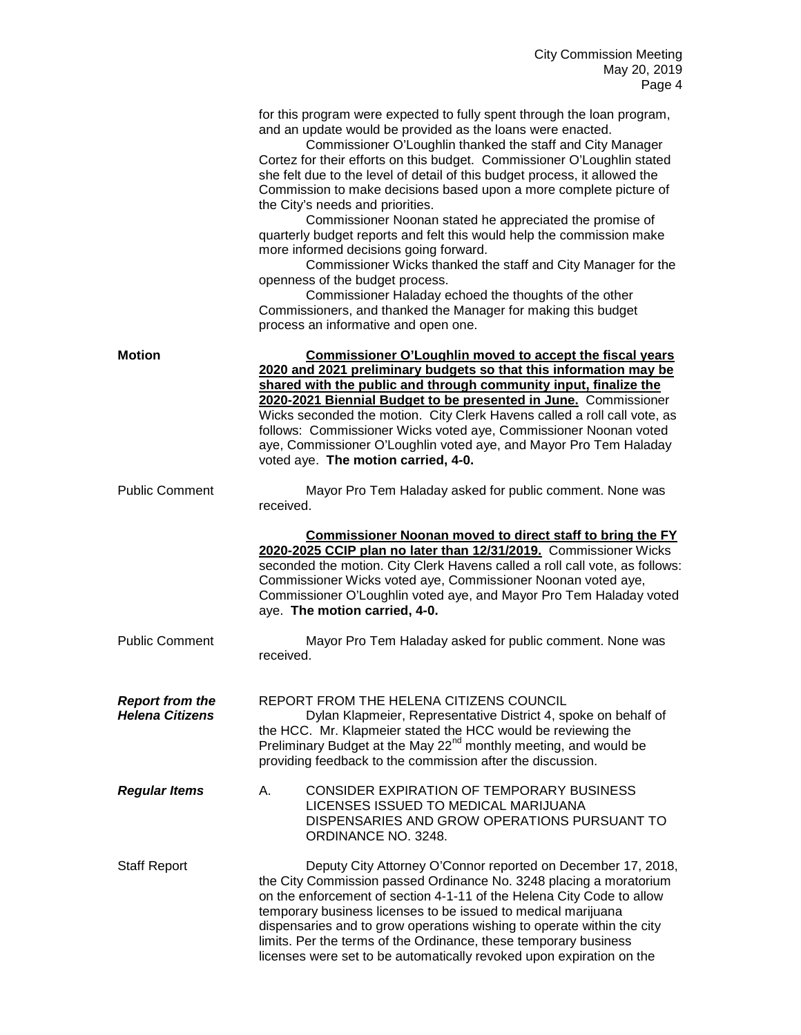|                                                  | for this program were expected to fully spent through the loan program,<br>and an update would be provided as the loans were enacted.<br>Commissioner O'Loughlin thanked the staff and City Manager<br>Cortez for their efforts on this budget. Commissioner O'Loughlin stated<br>she felt due to the level of detail of this budget process, it allowed the<br>Commission to make decisions based upon a more complete picture of<br>the City's needs and priorities.<br>Commissioner Noonan stated he appreciated the promise of<br>quarterly budget reports and felt this would help the commission make<br>more informed decisions going forward.<br>Commissioner Wicks thanked the staff and City Manager for the<br>openness of the budget process.<br>Commissioner Haladay echoed the thoughts of the other<br>Commissioners, and thanked the Manager for making this budget<br>process an informative and open one. |
|--------------------------------------------------|-----------------------------------------------------------------------------------------------------------------------------------------------------------------------------------------------------------------------------------------------------------------------------------------------------------------------------------------------------------------------------------------------------------------------------------------------------------------------------------------------------------------------------------------------------------------------------------------------------------------------------------------------------------------------------------------------------------------------------------------------------------------------------------------------------------------------------------------------------------------------------------------------------------------------------|
| <b>Motion</b>                                    | <b>Commissioner O'Loughlin moved to accept the fiscal years</b><br>2020 and 2021 preliminary budgets so that this information may be<br>shared with the public and through community input, finalize the<br>2020-2021 Biennial Budget to be presented in June. Commissioner<br>Wicks seconded the motion. City Clerk Havens called a roll call vote, as<br>follows: Commissioner Wicks voted aye, Commissioner Noonan voted<br>aye, Commissioner O'Loughlin voted aye, and Mayor Pro Tem Haladay<br>voted aye. The motion carried, 4-0.                                                                                                                                                                                                                                                                                                                                                                                     |
| <b>Public Comment</b>                            | Mayor Pro Tem Haladay asked for public comment. None was<br>received.<br>Commissioner Noonan moved to direct staff to bring the FY<br>2020-2025 CCIP plan no later than 12/31/2019. Commissioner Wicks<br>seconded the motion. City Clerk Havens called a roll call vote, as follows:<br>Commissioner Wicks voted aye, Commissioner Noonan voted aye,<br>Commissioner O'Loughlin voted aye, and Mayor Pro Tem Haladay voted<br>aye. The motion carried, 4-0.                                                                                                                                                                                                                                                                                                                                                                                                                                                                |
| <b>Public Comment</b>                            | Mayor Pro Tem Haladay asked for public comment. None was<br>received.                                                                                                                                                                                                                                                                                                                                                                                                                                                                                                                                                                                                                                                                                                                                                                                                                                                       |
| <b>Report from the</b><br><b>Helena Citizens</b> | REPORT FROM THE HELENA CITIZENS COUNCIL<br>Dylan Klapmeier, Representative District 4, spoke on behalf of<br>the HCC. Mr. Klapmeier stated the HCC would be reviewing the<br>Preliminary Budget at the May 22 <sup>nd</sup> monthly meeting, and would be<br>providing feedback to the commission after the discussion.                                                                                                                                                                                                                                                                                                                                                                                                                                                                                                                                                                                                     |
| <b>Regular Items</b>                             | CONSIDER EXPIRATION OF TEMPORARY BUSINESS<br>А.<br>LICENSES ISSUED TO MEDICAL MARIJUANA<br>DISPENSARIES AND GROW OPERATIONS PURSUANT TO<br>ORDINANCE NO. 3248.                                                                                                                                                                                                                                                                                                                                                                                                                                                                                                                                                                                                                                                                                                                                                              |
| <b>Staff Report</b>                              | Deputy City Attorney O'Connor reported on December 17, 2018,<br>the City Commission passed Ordinance No. 3248 placing a moratorium<br>on the enforcement of section 4-1-11 of the Helena City Code to allow<br>temporary business licenses to be issued to medical marijuana<br>dispensaries and to grow operations wishing to operate within the city<br>limits. Per the terms of the Ordinance, these temporary business<br>licenses were set to be automatically revoked upon expiration on the                                                                                                                                                                                                                                                                                                                                                                                                                          |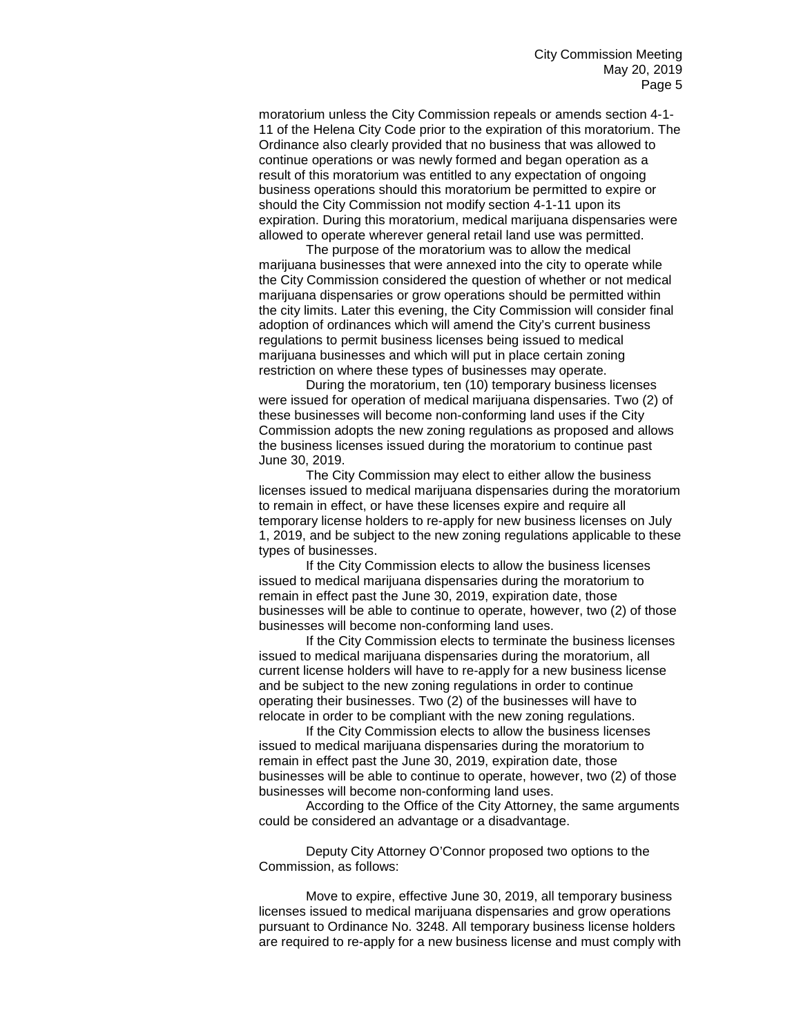moratorium unless the City Commission repeals or amends section 4-1- 11 of the Helena City Code prior to the expiration of this moratorium. The Ordinance also clearly provided that no business that was allowed to continue operations or was newly formed and began operation as a result of this moratorium was entitled to any expectation of ongoing business operations should this moratorium be permitted to expire or should the City Commission not modify section 4-1-11 upon its expiration. During this moratorium, medical marijuana dispensaries were allowed to operate wherever general retail land use was permitted.

The purpose of the moratorium was to allow the medical marijuana businesses that were annexed into the city to operate while the City Commission considered the question of whether or not medical marijuana dispensaries or grow operations should be permitted within the city limits. Later this evening, the City Commission will consider final adoption of ordinances which will amend the City's current business regulations to permit business licenses being issued to medical marijuana businesses and which will put in place certain zoning restriction on where these types of businesses may operate.

During the moratorium, ten (10) temporary business licenses were issued for operation of medical marijuana dispensaries. Two (2) of these businesses will become non-conforming land uses if the City Commission adopts the new zoning regulations as proposed and allows the business licenses issued during the moratorium to continue past June 30, 2019.

The City Commission may elect to either allow the business licenses issued to medical marijuana dispensaries during the moratorium to remain in effect, or have these licenses expire and require all temporary license holders to re-apply for new business licenses on July 1, 2019, and be subject to the new zoning regulations applicable to these types of businesses.

If the City Commission elects to allow the business licenses issued to medical marijuana dispensaries during the moratorium to remain in effect past the June 30, 2019, expiration date, those businesses will be able to continue to operate, however, two (2) of those businesses will become non-conforming land uses.

If the City Commission elects to terminate the business licenses issued to medical marijuana dispensaries during the moratorium, all current license holders will have to re-apply for a new business license and be subject to the new zoning regulations in order to continue operating their businesses. Two (2) of the businesses will have to relocate in order to be compliant with the new zoning regulations.

If the City Commission elects to allow the business licenses issued to medical marijuana dispensaries during the moratorium to remain in effect past the June 30, 2019, expiration date, those businesses will be able to continue to operate, however, two (2) of those businesses will become non-conforming land uses.

According to the Office of the City Attorney, the same arguments could be considered an advantage or a disadvantage.

Deputy City Attorney O'Connor proposed two options to the Commission, as follows:

Move to expire, effective June 30, 2019, all temporary business licenses issued to medical marijuana dispensaries and grow operations pursuant to Ordinance No. 3248. All temporary business license holders are required to re-apply for a new business license and must comply with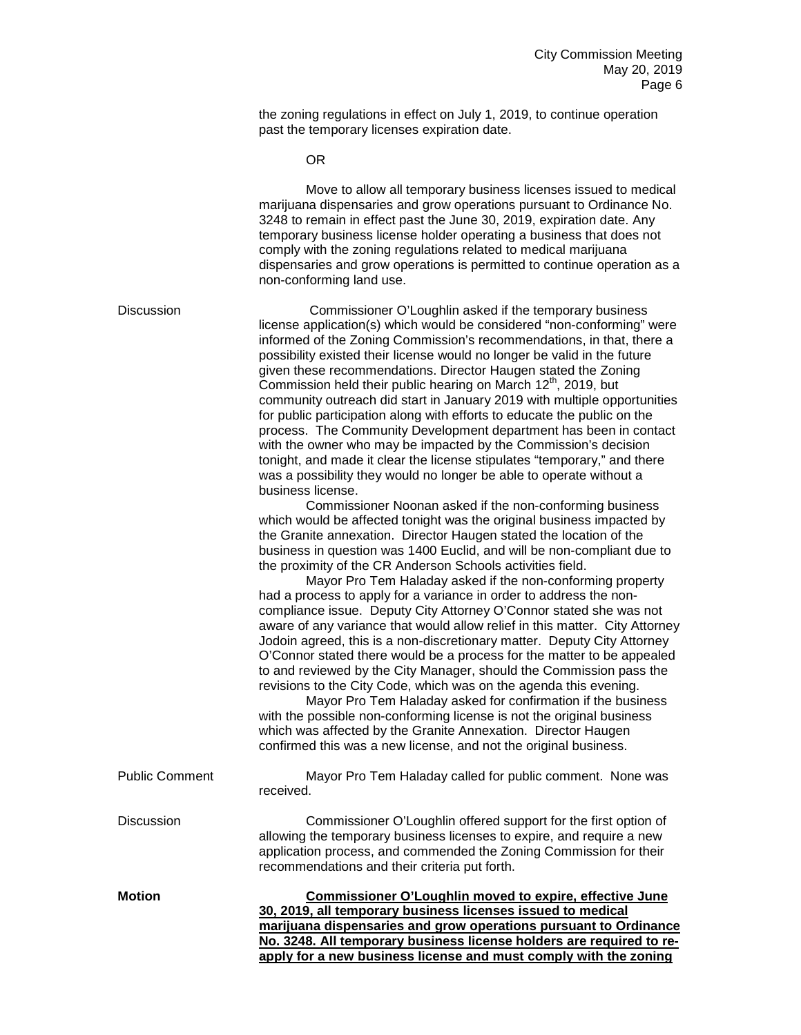the zoning regulations in effect on July 1, 2019, to continue operation past the temporary licenses expiration date.

OR

|                       | Move to allow all temporary business licenses issued to medical<br>marijuana dispensaries and grow operations pursuant to Ordinance No.<br>3248 to remain in effect past the June 30, 2019, expiration date. Any<br>temporary business license holder operating a business that does not<br>comply with the zoning regulations related to medical marijuana<br>dispensaries and grow operations is permitted to continue operation as a<br>non-conforming land use.                                                                                                                                                                                                                                                                                                                                                                                                                                                                                                                                                                                                                                                                                                                                                                                                                                                                                                                                                                                                                                                                                                                                                                                                                                                                                                                                                                                                                                                                                                                                  |
|-----------------------|------------------------------------------------------------------------------------------------------------------------------------------------------------------------------------------------------------------------------------------------------------------------------------------------------------------------------------------------------------------------------------------------------------------------------------------------------------------------------------------------------------------------------------------------------------------------------------------------------------------------------------------------------------------------------------------------------------------------------------------------------------------------------------------------------------------------------------------------------------------------------------------------------------------------------------------------------------------------------------------------------------------------------------------------------------------------------------------------------------------------------------------------------------------------------------------------------------------------------------------------------------------------------------------------------------------------------------------------------------------------------------------------------------------------------------------------------------------------------------------------------------------------------------------------------------------------------------------------------------------------------------------------------------------------------------------------------------------------------------------------------------------------------------------------------------------------------------------------------------------------------------------------------------------------------------------------------------------------------------------------------|
| <b>Discussion</b>     | Commissioner O'Loughlin asked if the temporary business<br>license application(s) which would be considered "non-conforming" were<br>informed of the Zoning Commission's recommendations, in that, there a<br>possibility existed their license would no longer be valid in the future<br>given these recommendations. Director Haugen stated the Zoning<br>Commission held their public hearing on March 12 <sup>th</sup> , 2019, but<br>community outreach did start in January 2019 with multiple opportunities<br>for public participation along with efforts to educate the public on the<br>process. The Community Development department has been in contact<br>with the owner who may be impacted by the Commission's decision<br>tonight, and made it clear the license stipulates "temporary," and there<br>was a possibility they would no longer be able to operate without a<br>business license.<br>Commissioner Noonan asked if the non-conforming business<br>which would be affected tonight was the original business impacted by<br>the Granite annexation. Director Haugen stated the location of the<br>business in question was 1400 Euclid, and will be non-compliant due to<br>the proximity of the CR Anderson Schools activities field.<br>Mayor Pro Tem Haladay asked if the non-conforming property<br>had a process to apply for a variance in order to address the non-<br>compliance issue. Deputy City Attorney O'Connor stated she was not<br>aware of any variance that would allow relief in this matter. City Attorney<br>Jodoin agreed, this is a non-discretionary matter. Deputy City Attorney<br>O'Connor stated there would be a process for the matter to be appealed<br>to and reviewed by the City Manager, should the Commission pass the<br>revisions to the City Code, which was on the agenda this evening.<br>Mayor Pro Tem Haladay asked for confirmation if the business<br>with the possible non-conforming license is not the original business |
|                       | which was affected by the Granite Annexation. Director Haugen<br>confirmed this was a new license, and not the original business.                                                                                                                                                                                                                                                                                                                                                                                                                                                                                                                                                                                                                                                                                                                                                                                                                                                                                                                                                                                                                                                                                                                                                                                                                                                                                                                                                                                                                                                                                                                                                                                                                                                                                                                                                                                                                                                                    |
| <b>Public Comment</b> | Mayor Pro Tem Haladay called for public comment. None was<br>received.                                                                                                                                                                                                                                                                                                                                                                                                                                                                                                                                                                                                                                                                                                                                                                                                                                                                                                                                                                                                                                                                                                                                                                                                                                                                                                                                                                                                                                                                                                                                                                                                                                                                                                                                                                                                                                                                                                                               |
| <b>Discussion</b>     | Commissioner O'Loughlin offered support for the first option of<br>allowing the temporary business licenses to expire, and require a new<br>application process, and commended the Zoning Commission for their<br>recommendations and their criteria put forth.                                                                                                                                                                                                                                                                                                                                                                                                                                                                                                                                                                                                                                                                                                                                                                                                                                                                                                                                                                                                                                                                                                                                                                                                                                                                                                                                                                                                                                                                                                                                                                                                                                                                                                                                      |
| <b>Motion</b>         | <b>Commissioner O'Loughlin moved to expire, effective June</b><br>30, 2019, all temporary business licenses issued to medical<br>marijuana dispensaries and grow operations pursuant to Ordinance<br>No. 3248. All temporary business license holders are required to re-<br>apply for a new business license and must comply with the zoning                                                                                                                                                                                                                                                                                                                                                                                                                                                                                                                                                                                                                                                                                                                                                                                                                                                                                                                                                                                                                                                                                                                                                                                                                                                                                                                                                                                                                                                                                                                                                                                                                                                        |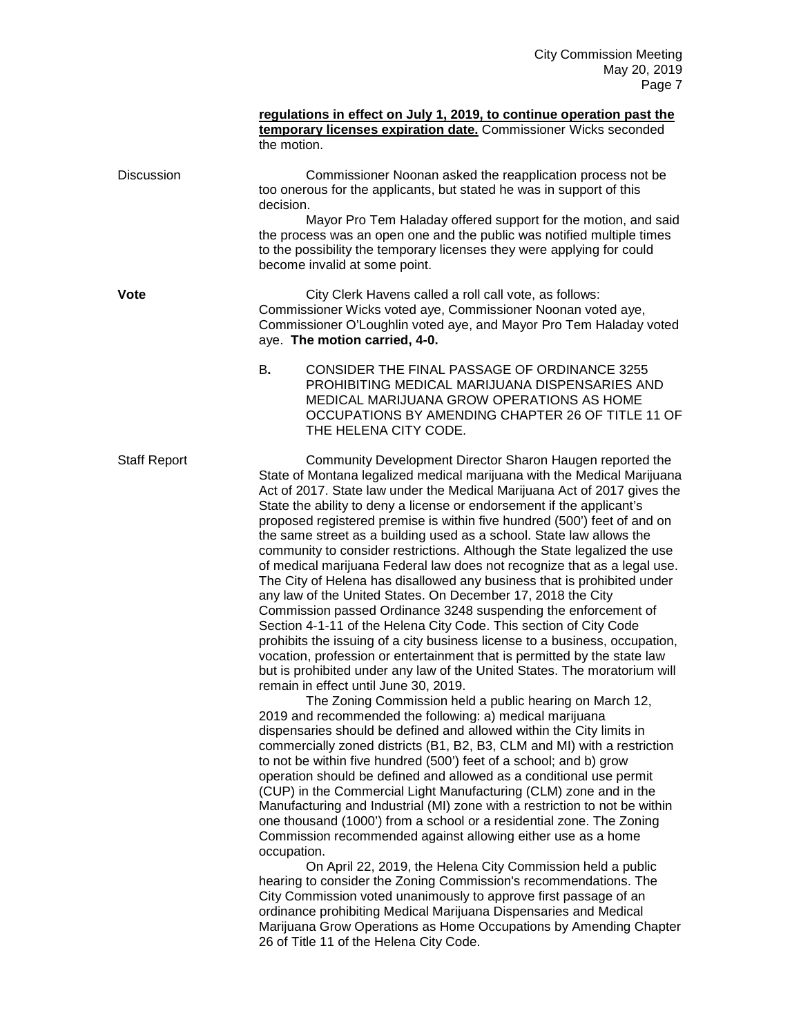|                     | regulations in effect on July 1, 2019, to continue operation past the<br>temporary licenses expiration date. Commissioner Wicks seconded<br>the motion.                                                                                                                                                                                                                                                                                                                                                                                                                                                                                                                                                                                                                                                                                                                                                                                                                                                                                                                                                                                                                                                                                                                                                                                                                                                                                                                                                                                                                                                                                                                                                                                                                                                                                                                                                                                                                                                                                                                                                                                                                                                                                                                                               |
|---------------------|-------------------------------------------------------------------------------------------------------------------------------------------------------------------------------------------------------------------------------------------------------------------------------------------------------------------------------------------------------------------------------------------------------------------------------------------------------------------------------------------------------------------------------------------------------------------------------------------------------------------------------------------------------------------------------------------------------------------------------------------------------------------------------------------------------------------------------------------------------------------------------------------------------------------------------------------------------------------------------------------------------------------------------------------------------------------------------------------------------------------------------------------------------------------------------------------------------------------------------------------------------------------------------------------------------------------------------------------------------------------------------------------------------------------------------------------------------------------------------------------------------------------------------------------------------------------------------------------------------------------------------------------------------------------------------------------------------------------------------------------------------------------------------------------------------------------------------------------------------------------------------------------------------------------------------------------------------------------------------------------------------------------------------------------------------------------------------------------------------------------------------------------------------------------------------------------------------------------------------------------------------------------------------------------------------|
| <b>Discussion</b>   | Commissioner Noonan asked the reapplication process not be<br>too onerous for the applicants, but stated he was in support of this<br>decision.                                                                                                                                                                                                                                                                                                                                                                                                                                                                                                                                                                                                                                                                                                                                                                                                                                                                                                                                                                                                                                                                                                                                                                                                                                                                                                                                                                                                                                                                                                                                                                                                                                                                                                                                                                                                                                                                                                                                                                                                                                                                                                                                                       |
|                     | Mayor Pro Tem Haladay offered support for the motion, and said<br>the process was an open one and the public was notified multiple times<br>to the possibility the temporary licenses they were applying for could<br>become invalid at some point.                                                                                                                                                                                                                                                                                                                                                                                                                                                                                                                                                                                                                                                                                                                                                                                                                                                                                                                                                                                                                                                                                                                                                                                                                                                                                                                                                                                                                                                                                                                                                                                                                                                                                                                                                                                                                                                                                                                                                                                                                                                   |
| <b>Vote</b>         | City Clerk Havens called a roll call vote, as follows:<br>Commissioner Wicks voted aye, Commissioner Noonan voted aye,<br>Commissioner O'Loughlin voted aye, and Mayor Pro Tem Haladay voted<br>aye. The motion carried, 4-0.                                                                                                                                                                                                                                                                                                                                                                                                                                                                                                                                                                                                                                                                                                                                                                                                                                                                                                                                                                                                                                                                                                                                                                                                                                                                                                                                                                                                                                                                                                                                                                                                                                                                                                                                                                                                                                                                                                                                                                                                                                                                         |
|                     | CONSIDER THE FINAL PASSAGE OF ORDINANCE 3255<br>В.<br>PROHIBITING MEDICAL MARIJUANA DISPENSARIES AND<br>MEDICAL MARIJUANA GROW OPERATIONS AS HOME<br>OCCUPATIONS BY AMENDING CHAPTER 26 OF TITLE 11 OF<br>THE HELENA CITY CODE.                                                                                                                                                                                                                                                                                                                                                                                                                                                                                                                                                                                                                                                                                                                                                                                                                                                                                                                                                                                                                                                                                                                                                                                                                                                                                                                                                                                                                                                                                                                                                                                                                                                                                                                                                                                                                                                                                                                                                                                                                                                                       |
| <b>Staff Report</b> | Community Development Director Sharon Haugen reported the<br>State of Montana legalized medical marijuana with the Medical Marijuana<br>Act of 2017. State law under the Medical Marijuana Act of 2017 gives the<br>State the ability to deny a license or endorsement if the applicant's<br>proposed registered premise is within five hundred (500') feet of and on<br>the same street as a building used as a school. State law allows the<br>community to consider restrictions. Although the State legalized the use<br>of medical marijuana Federal law does not recognize that as a legal use.<br>The City of Helena has disallowed any business that is prohibited under<br>any law of the United States. On December 17, 2018 the City<br>Commission passed Ordinance 3248 suspending the enforcement of<br>Section 4-1-11 of the Helena City Code. This section of City Code<br>prohibits the issuing of a city business license to a business, occupation,<br>vocation, profession or entertainment that is permitted by the state law<br>but is prohibited under any law of the United States. The moratorium will<br>remain in effect until June 30, 2019.<br>The Zoning Commission held a public hearing on March 12,<br>2019 and recommended the following: a) medical marijuana<br>dispensaries should be defined and allowed within the City limits in<br>commercially zoned districts (B1, B2, B3, CLM and MI) with a restriction<br>to not be within five hundred (500') feet of a school; and b) grow<br>operation should be defined and allowed as a conditional use permit<br>(CUP) in the Commercial Light Manufacturing (CLM) zone and in the<br>Manufacturing and Industrial (MI) zone with a restriction to not be within<br>one thousand (1000') from a school or a residential zone. The Zoning<br>Commission recommended against allowing either use as a home<br>occupation.<br>On April 22, 2019, the Helena City Commission held a public<br>hearing to consider the Zoning Commission's recommendations. The<br>City Commission voted unanimously to approve first passage of an<br>ordinance prohibiting Medical Marijuana Dispensaries and Medical<br>Marijuana Grow Operations as Home Occupations by Amending Chapter<br>26 of Title 11 of the Helena City Code. |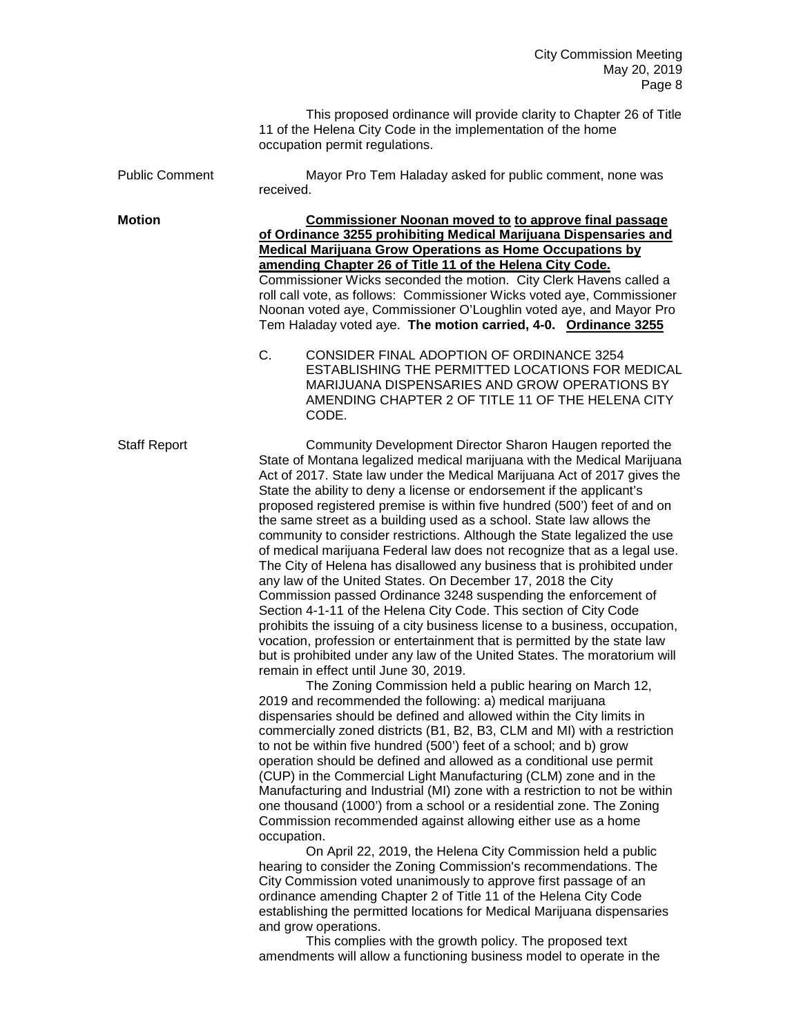This proposed ordinance will provide clarity to Chapter 26 of Title 11 of the Helena City Code in the implementation of the home occupation permit regulations.

Public Comment Mayor Pro Tem Haladay asked for public comment, none was received.

**Motion Commissioner Noonan moved to to approve final passage of Ordinance 3255 prohibiting Medical Marijuana Dispensaries and Medical Marijuana Grow Operations as Home Occupations by amending Chapter 26 of Title 11 of the Helena City Code.** Commissioner Wicks seconded the motion. City Clerk Havens called a roll call vote, as follows: Commissioner Wicks voted aye, Commissioner Noonan voted aye, Commissioner O'Loughlin voted aye, and Mayor Pro Tem Haladay voted aye. **The motion carried, 4-0. Ordinance 3255**

> C. CONSIDER FINAL ADOPTION OF ORDINANCE 3254 ESTABLISHING THE PERMITTED LOCATIONS FOR MEDICAL MARIJUANA DISPENSARIES AND GROW OPERATIONS BY AMENDING CHAPTER 2 OF TITLE 11 OF THE HELENA CITY CODE.

Staff Report Community Development Director Sharon Haugen reported the State of Montana legalized medical marijuana with the Medical Marijuana Act of 2017. State law under the Medical Marijuana Act of 2017 gives the State the ability to deny a license or endorsement if the applicant's proposed registered premise is within five hundred (500') feet of and on the same street as a building used as a school. State law allows the community to consider restrictions. Although the State legalized the use of medical marijuana Federal law does not recognize that as a legal use. The City of Helena has disallowed any business that is prohibited under any law of the United States. On December 17, 2018 the City Commission passed Ordinance 3248 suspending the enforcement of Section 4-1-11 of the Helena City Code. This section of City Code prohibits the issuing of a city business license to a business, occupation, vocation, profession or entertainment that is permitted by the state law but is prohibited under any law of the United States. The moratorium will remain in effect until June 30, 2019.

> The Zoning Commission held a public hearing on March 12, 2019 and recommended the following: a) medical marijuana dispensaries should be defined and allowed within the City limits in commercially zoned districts (B1, B2, B3, CLM and MI) with a restriction to not be within five hundred (500') feet of a school; and b) grow operation should be defined and allowed as a conditional use permit (CUP) in the Commercial Light Manufacturing (CLM) zone and in the Manufacturing and Industrial (MI) zone with a restriction to not be within one thousand (1000') from a school or a residential zone. The Zoning Commission recommended against allowing either use as a home occupation.

On April 22, 2019, the Helena City Commission held a public hearing to consider the Zoning Commission's recommendations. The City Commission voted unanimously to approve first passage of an ordinance amending Chapter 2 of Title 11 of the Helena City Code establishing the permitted locations for Medical Marijuana dispensaries and grow operations.

This complies with the growth policy. The proposed text amendments will allow a functioning business model to operate in the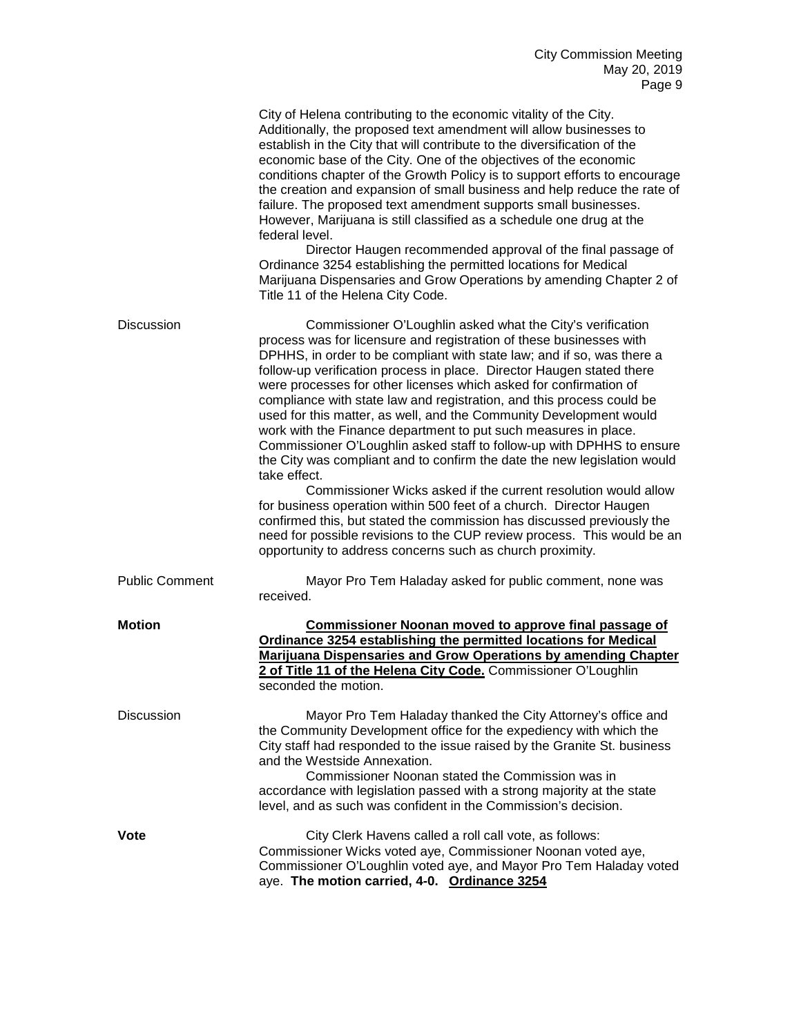|                       | City of Helena contributing to the economic vitality of the City.<br>Additionally, the proposed text amendment will allow businesses to<br>establish in the City that will contribute to the diversification of the<br>economic base of the City. One of the objectives of the economic<br>conditions chapter of the Growth Policy is to support efforts to encourage<br>the creation and expansion of small business and help reduce the rate of<br>failure. The proposed text amendment supports small businesses.<br>However, Marijuana is still classified as a schedule one drug at the<br>federal level.<br>Director Haugen recommended approval of the final passage of<br>Ordinance 3254 establishing the permitted locations for Medical<br>Marijuana Dispensaries and Grow Operations by amending Chapter 2 of<br>Title 11 of the Helena City Code.                                                                                                                                                                                                                                               |
|-----------------------|-------------------------------------------------------------------------------------------------------------------------------------------------------------------------------------------------------------------------------------------------------------------------------------------------------------------------------------------------------------------------------------------------------------------------------------------------------------------------------------------------------------------------------------------------------------------------------------------------------------------------------------------------------------------------------------------------------------------------------------------------------------------------------------------------------------------------------------------------------------------------------------------------------------------------------------------------------------------------------------------------------------------------------------------------------------------------------------------------------------|
| <b>Discussion</b>     | Commissioner O'Loughlin asked what the City's verification<br>process was for licensure and registration of these businesses with<br>DPHHS, in order to be compliant with state law; and if so, was there a<br>follow-up verification process in place. Director Haugen stated there<br>were processes for other licenses which asked for confirmation of<br>compliance with state law and registration, and this process could be<br>used for this matter, as well, and the Community Development would<br>work with the Finance department to put such measures in place.<br>Commissioner O'Loughlin asked staff to follow-up with DPHHS to ensure<br>the City was compliant and to confirm the date the new legislation would<br>take effect.<br>Commissioner Wicks asked if the current resolution would allow<br>for business operation within 500 feet of a church. Director Haugen<br>confirmed this, but stated the commission has discussed previously the<br>need for possible revisions to the CUP review process. This would be an<br>opportunity to address concerns such as church proximity. |
| <b>Public Comment</b> | Mayor Pro Tem Haladay asked for public comment, none was<br>received.                                                                                                                                                                                                                                                                                                                                                                                                                                                                                                                                                                                                                                                                                                                                                                                                                                                                                                                                                                                                                                       |
| <b>Motion</b>         | Commissioner Noonan moved to approve final passage of<br>Ordinance 3254 establishing the permitted locations for Medical<br>Marijuana Dispensaries and Grow Operations by amending Chapter<br>2 of Title 11 of the Helena City Code. Commissioner O'Loughlin<br>seconded the motion.                                                                                                                                                                                                                                                                                                                                                                                                                                                                                                                                                                                                                                                                                                                                                                                                                        |
| <b>Discussion</b>     | Mayor Pro Tem Haladay thanked the City Attorney's office and<br>the Community Development office for the expediency with which the<br>City staff had responded to the issue raised by the Granite St. business<br>and the Westside Annexation.<br>Commissioner Noonan stated the Commission was in<br>accordance with legislation passed with a strong majority at the state<br>level, and as such was confident in the Commission's decision.                                                                                                                                                                                                                                                                                                                                                                                                                                                                                                                                                                                                                                                              |
| Vote                  | City Clerk Havens called a roll call vote, as follows:<br>Commissioner Wicks voted aye, Commissioner Noonan voted aye,<br>Commissioner O'Loughlin voted aye, and Mayor Pro Tem Haladay voted<br>aye. The motion carried, 4-0. Ordinance 3254                                                                                                                                                                                                                                                                                                                                                                                                                                                                                                                                                                                                                                                                                                                                                                                                                                                                |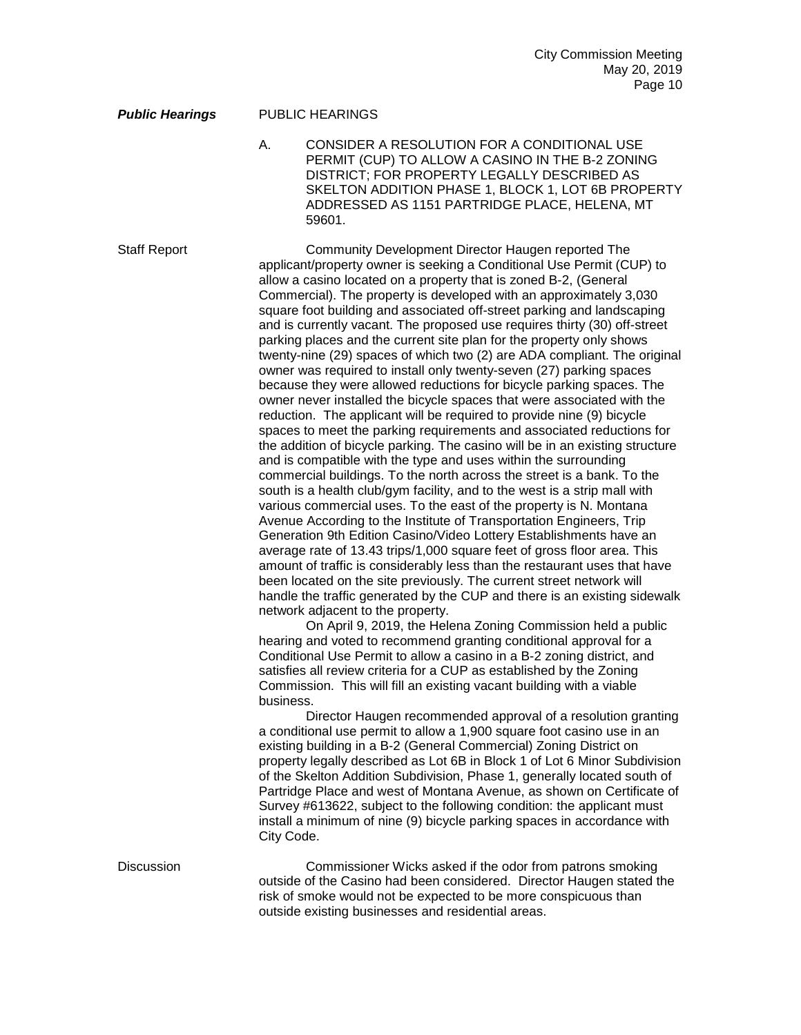## *Public Hearings* PUBLIC HEARINGS

A. CONSIDER A RESOLUTION FOR A CONDITIONAL USE PERMIT (CUP) TO ALLOW A CASINO IN THE B-2 ZONING DISTRICT; FOR PROPERTY LEGALLY DESCRIBED AS SKELTON ADDITION PHASE 1, BLOCK 1, LOT 6B PROPERTY ADDRESSED AS 1151 PARTRIDGE PLACE, HELENA, MT 59601.

Staff Report Community Development Director Haugen reported The applicant/property owner is seeking a Conditional Use Permit (CUP) to allow a casino located on a property that is zoned B-2, (General Commercial). The property is developed with an approximately 3,030 square foot building and associated off-street parking and landscaping and is currently vacant. The proposed use requires thirty (30) off-street parking places and the current site plan for the property only shows twenty-nine (29) spaces of which two (2) are ADA compliant. The original owner was required to install only twenty-seven (27) parking spaces because they were allowed reductions for bicycle parking spaces. The owner never installed the bicycle spaces that were associated with the reduction. The applicant will be required to provide nine (9) bicycle spaces to meet the parking requirements and associated reductions for the addition of bicycle parking. The casino will be in an existing structure and is compatible with the type and uses within the surrounding commercial buildings. To the north across the street is a bank. To the south is a health club/gym facility, and to the west is a strip mall with various commercial uses. To the east of the property is N. Montana Avenue According to the Institute of Transportation Engineers, Trip Generation 9th Edition Casino/Video Lottery Establishments have an average rate of 13.43 trips/1,000 square feet of gross floor area. This amount of traffic is considerably less than the restaurant uses that have been located on the site previously. The current street network will handle the traffic generated by the CUP and there is an existing sidewalk network adjacent to the property.

On April 9, 2019, the Helena Zoning Commission held a public hearing and voted to recommend granting conditional approval for a Conditional Use Permit to allow a casino in a B-2 zoning district, and satisfies all review criteria for a CUP as established by the Zoning Commission. This will fill an existing vacant building with a viable business.

Director Haugen recommended approval of a resolution granting a conditional use permit to allow a 1,900 square foot casino use in an existing building in a B-2 (General Commercial) Zoning District on property legally described as Lot 6B in Block 1 of Lot 6 Minor Subdivision of the Skelton Addition Subdivision, Phase 1, generally located south of Partridge Place and west of Montana Avenue, as shown on Certificate of Survey #613622, subject to the following condition: the applicant must install a minimum of nine (9) bicycle parking spaces in accordance with City Code.

Discussion Commissioner Wicks asked if the odor from patrons smoking outside of the Casino had been considered. Director Haugen stated the risk of smoke would not be expected to be more conspicuous than outside existing businesses and residential areas.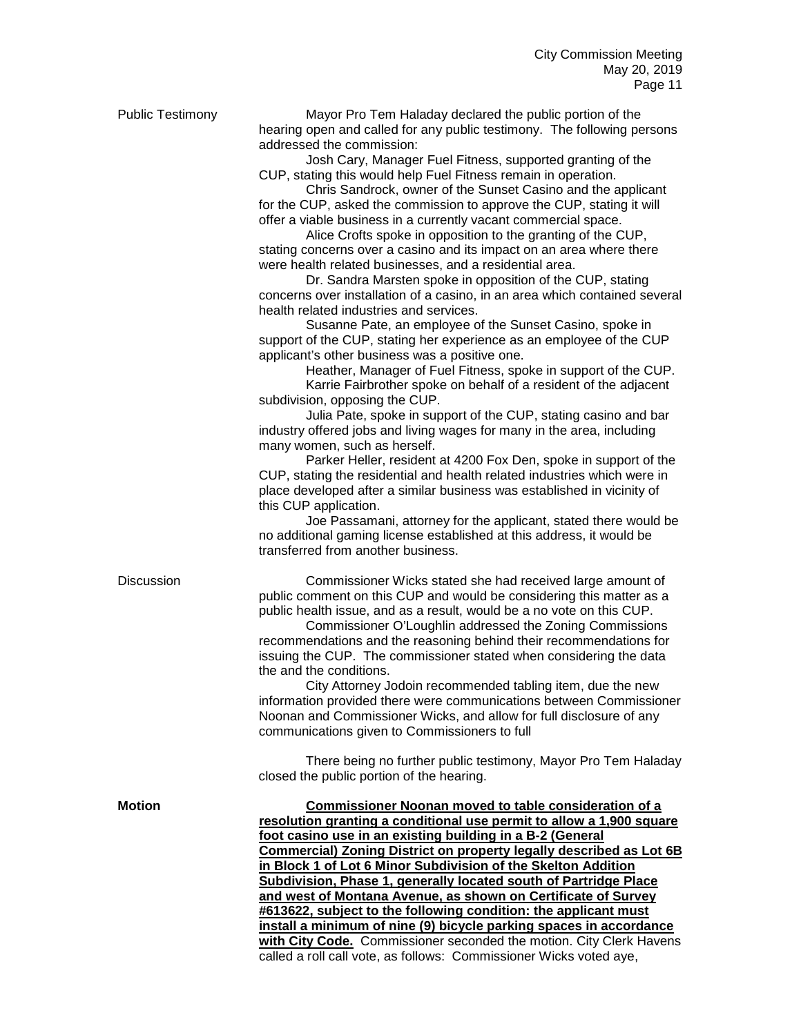|                   | hearing open and called for any public testimony. The following persons<br>addressed the commission:                                                |
|-------------------|-----------------------------------------------------------------------------------------------------------------------------------------------------|
|                   | Josh Cary, Manager Fuel Fitness, supported granting of the                                                                                          |
|                   | CUP, stating this would help Fuel Fitness remain in operation.                                                                                      |
|                   | Chris Sandrock, owner of the Sunset Casino and the applicant                                                                                        |
|                   | for the CUP, asked the commission to approve the CUP, stating it will                                                                               |
|                   | offer a viable business in a currently vacant commercial space.                                                                                     |
|                   | Alice Crofts spoke in opposition to the granting of the CUP,                                                                                        |
|                   | stating concerns over a casino and its impact on an area where there                                                                                |
|                   | were health related businesses, and a residential area.                                                                                             |
|                   | Dr. Sandra Marsten spoke in opposition of the CUP, stating                                                                                          |
|                   | concerns over installation of a casino, in an area which contained several                                                                          |
|                   | health related industries and services.                                                                                                             |
|                   | Susanne Pate, an employee of the Sunset Casino, spoke in                                                                                            |
|                   | support of the CUP, stating her experience as an employee of the CUP                                                                                |
|                   | applicant's other business was a positive one.                                                                                                      |
|                   | Heather, Manager of Fuel Fitness, spoke in support of the CUP.                                                                                      |
|                   | Karrie Fairbrother spoke on behalf of a resident of the adjacent                                                                                    |
|                   | subdivision, opposing the CUP.                                                                                                                      |
|                   | Julia Pate, spoke in support of the CUP, stating casino and bar                                                                                     |
|                   | industry offered jobs and living wages for many in the area, including                                                                              |
|                   | many women, such as herself.                                                                                                                        |
|                   | Parker Heller, resident at 4200 Fox Den, spoke in support of the                                                                                    |
|                   | CUP, stating the residential and health related industries which were in<br>place developed after a similar business was established in vicinity of |
|                   | this CUP application.                                                                                                                               |
|                   | Joe Passamani, attorney for the applicant, stated there would be                                                                                    |
|                   | no additional gaming license established at this address, it would be                                                                               |
|                   | transferred from another business.                                                                                                                  |
|                   |                                                                                                                                                     |
| <b>Discussion</b> | Commissioner Wicks stated she had received large amount of                                                                                          |
|                   | public comment on this CUP and would be considering this matter as a                                                                                |
|                   | public health issue, and as a result, would be a no vote on this CUP.                                                                               |
|                   | Commissioner O'Loughlin addressed the Zoning Commissions                                                                                            |
|                   | recommendations and the reasoning behind their recommendations for                                                                                  |
|                   | issuing the CUP. The commissioner stated when considering the data<br>the and the conditions.                                                       |
|                   | City Attorney Jodoin recommended tabling item, due the new                                                                                          |
|                   | information provided there were communications between Commissioner                                                                                 |
|                   | Noonan and Commissioner Wicks, and allow for full disclosure of any                                                                                 |
|                   | communications given to Commissioners to full                                                                                                       |
|                   |                                                                                                                                                     |
|                   | There being no further public testimony, Mayor Pro Tem Haladay                                                                                      |
|                   | closed the public portion of the hearing.                                                                                                           |
| <b>Motion</b>     | <b>Commissioner Noonan moved to table consideration of a</b>                                                                                        |
|                   | resolution granting a conditional use permit to allow a 1,900 square                                                                                |
|                   | foot casino use in an existing building in a B-2 (General                                                                                           |
|                   | Commercial) Zoning District on property legally described as Lot 6B                                                                                 |
|                   | in Block 1 of Lot 6 Minor Subdivision of the Skelton Addition                                                                                       |
|                   | Subdivision, Phase 1, generally located south of Partridge Place                                                                                    |
|                   | and west of Montana Avenue, as shown on Certificate of Survey                                                                                       |
|                   | #613622, subject to the following condition: the applicant must<br>install a minimum of nine (0) biougle negling appease in accorder                |

Public Testimony Mayor Pro Tem Haladay declared the public portion of the

**install a minimum of nine (9) bicycle parking spaces in accordance with City Code.** Commissioner seconded the motion. City Clerk Havens called a roll call vote, as follows: Commissioner Wicks voted aye,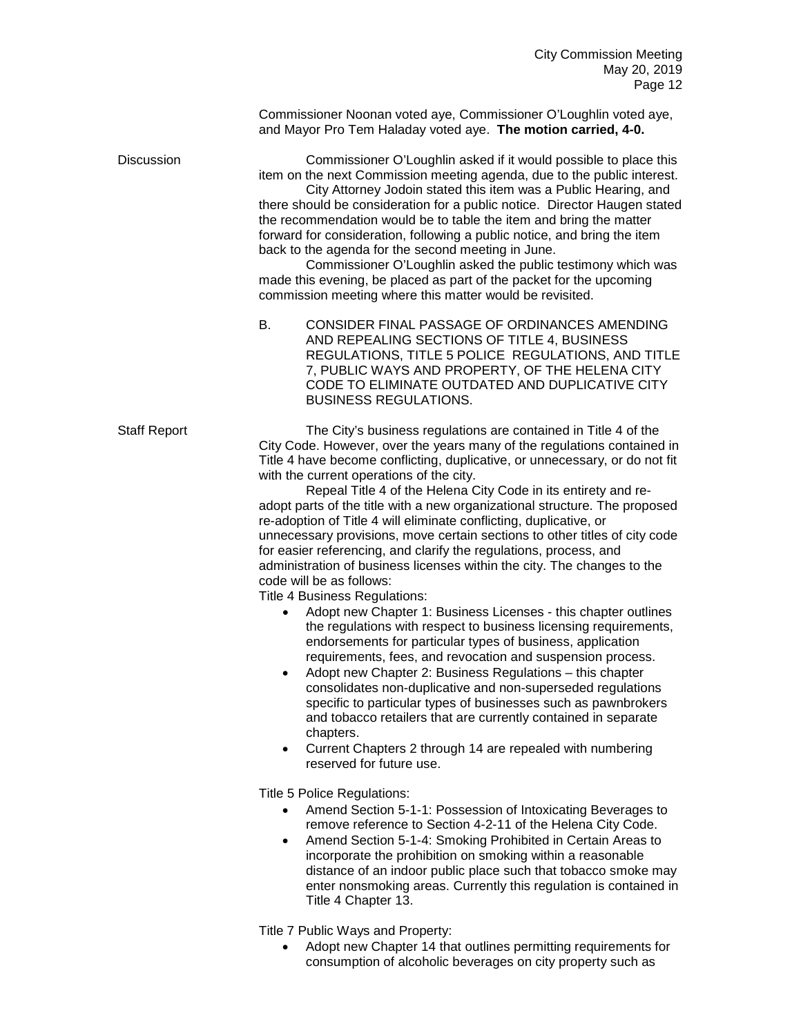Commissioner Noonan voted aye, Commissioner O'Loughlin voted aye, and Mayor Pro Tem Haladay voted aye. **The motion carried, 4-0.**

Discussion Commissioner O'Loughlin asked if it would possible to place this item on the next Commission meeting agenda, due to the public interest.

City Attorney Jodoin stated this item was a Public Hearing, and there should be consideration for a public notice. Director Haugen stated the recommendation would be to table the item and bring the matter forward for consideration, following a public notice, and bring the item back to the agenda for the second meeting in June.

Commissioner O'Loughlin asked the public testimony which was made this evening, be placed as part of the packet for the upcoming commission meeting where this matter would be revisited.

B. CONSIDER FINAL PASSAGE OF ORDINANCES AMENDING AND REPEALING SECTIONS OF TITLE 4, BUSINESS REGULATIONS, TITLE 5 POLICE REGULATIONS, AND TITLE 7, PUBLIC WAYS AND PROPERTY, OF THE HELENA CITY CODE TO ELIMINATE OUTDATED AND DUPLICATIVE CITY BUSINESS REGULATIONS.

Staff Report The City's business regulations are contained in Title 4 of the City Code. However, over the years many of the regulations contained in Title 4 have become conflicting, duplicative, or unnecessary, or do not fit with the current operations of the city.

Repeal Title 4 of the Helena City Code in its entirety and readopt parts of the title with a new organizational structure. The proposed re-adoption of Title 4 will eliminate conflicting, duplicative, or unnecessary provisions, move certain sections to other titles of city code for easier referencing, and clarify the regulations, process, and administration of business licenses within the city. The changes to the code will be as follows:

Title 4 Business Regulations:

- Adopt new Chapter 1: Business Licenses this chapter outlines the regulations with respect to business licensing requirements, endorsements for particular types of business, application requirements, fees, and revocation and suspension process.
- Adopt new Chapter 2: Business Regulations this chapter consolidates non-duplicative and non-superseded regulations specific to particular types of businesses such as pawnbrokers and tobacco retailers that are currently contained in separate chapters.
- Current Chapters 2 through 14 are repealed with numbering reserved for future use.

Title 5 Police Regulations:

- Amend Section 5-1-1: Possession of Intoxicating Beverages to remove reference to Section 4-2-11 of the Helena City Code.
- Amend Section 5-1-4: Smoking Prohibited in Certain Areas to incorporate the prohibition on smoking within a reasonable distance of an indoor public place such that tobacco smoke may enter nonsmoking areas. Currently this regulation is contained in Title 4 Chapter 13.

Title 7 Public Ways and Property:

• Adopt new Chapter 14 that outlines permitting requirements for consumption of alcoholic beverages on city property such as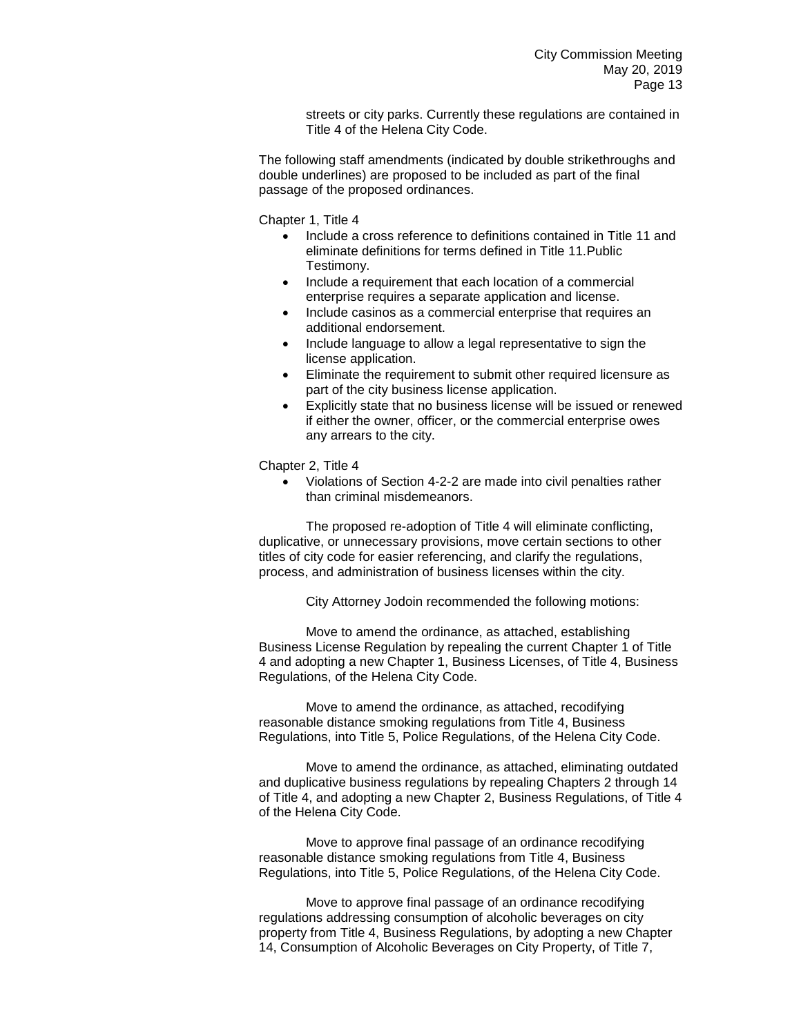streets or city parks. Currently these regulations are contained in Title 4 of the Helena City Code.

The following staff amendments (indicated by double strikethroughs and double underlines) are proposed to be included as part of the final passage of the proposed ordinances.

Chapter 1, Title 4

- Include a cross reference to definitions contained in Title 11 and eliminate definitions for terms defined in Title 11.Public Testimony.
- Include a requirement that each location of a commercial enterprise requires a separate application and license.
- Include casinos as a commercial enterprise that requires an additional endorsement.
- Include language to allow a legal representative to sign the license application.
- Eliminate the requirement to submit other required licensure as part of the city business license application.
- Explicitly state that no business license will be issued or renewed if either the owner, officer, or the commercial enterprise owes any arrears to the city.

Chapter 2, Title 4

• Violations of Section 4-2-2 are made into civil penalties rather than criminal misdemeanors.

The proposed re-adoption of Title 4 will eliminate conflicting, duplicative, or unnecessary provisions, move certain sections to other titles of city code for easier referencing, and clarify the regulations, process, and administration of business licenses within the city.

City Attorney Jodoin recommended the following motions:

Move to amend the ordinance, as attached, establishing Business License Regulation by repealing the current Chapter 1 of Title 4 and adopting a new Chapter 1, Business Licenses, of Title 4, Business Regulations, of the Helena City Code.

Move to amend the ordinance, as attached, recodifying reasonable distance smoking regulations from Title 4, Business Regulations, into Title 5, Police Regulations, of the Helena City Code.

Move to amend the ordinance, as attached, eliminating outdated and duplicative business regulations by repealing Chapters 2 through 14 of Title 4, and adopting a new Chapter 2, Business Regulations, of Title 4 of the Helena City Code.

Move to approve final passage of an ordinance recodifying reasonable distance smoking regulations from Title 4, Business Regulations, into Title 5, Police Regulations, of the Helena City Code.

Move to approve final passage of an ordinance recodifying regulations addressing consumption of alcoholic beverages on city property from Title 4, Business Regulations, by adopting a new Chapter 14, Consumption of Alcoholic Beverages on City Property, of Title 7,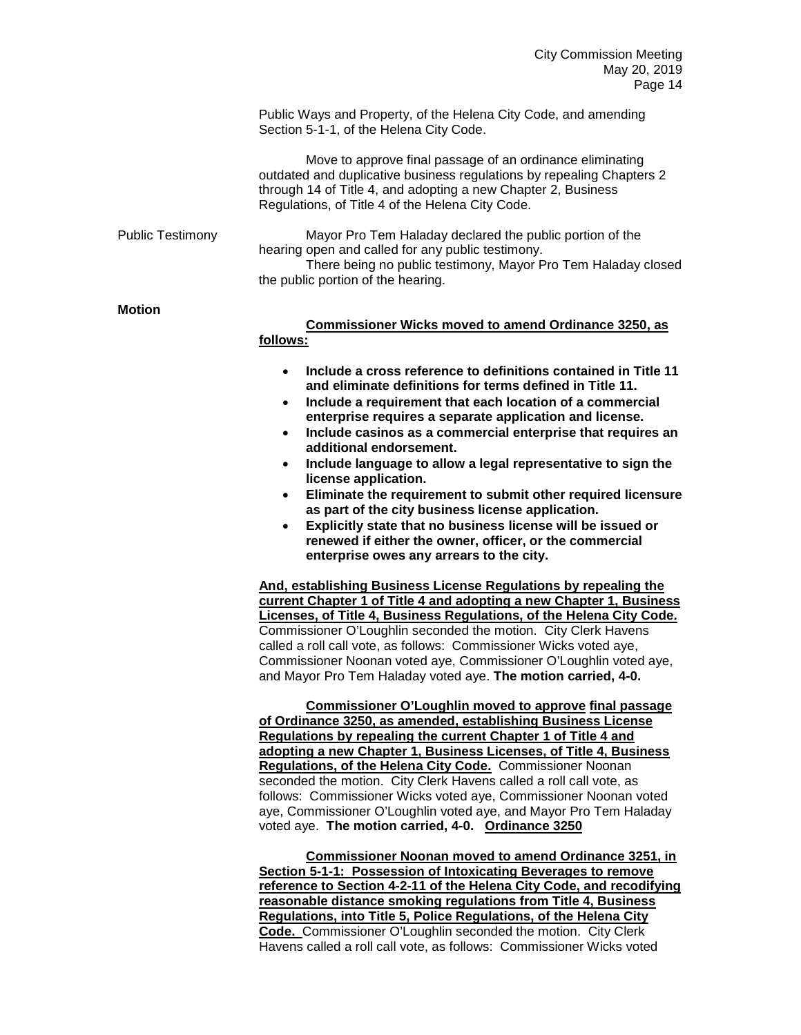Public Ways and Property, of the Helena City Code, and amending Section 5-1-1, of the Helena City Code.

Move to approve final passage of an ordinance eliminating outdated and duplicative business regulations by repealing Chapters 2 through 14 of Title 4, and adopting a new Chapter 2, Business Regulations, of Title 4 of the Helena City Code.

Public Testimony Mayor Pro Tem Haladay declared the public portion of the hearing open and called for any public testimony. There being no public testimony, Mayor Pro Tem Haladay closed the public portion of the hearing.

## **Motion**

**Commissioner Wicks moved to amend Ordinance 3250, as follows:**

- **Include a cross reference to definitions contained in Title 11 and eliminate definitions for terms defined in Title 11.**
- **Include a requirement that each location of a commercial enterprise requires a separate application and license.**
- **Include casinos as a commercial enterprise that requires an additional endorsement.**
- **Include language to allow a legal representative to sign the license application.**
- **Eliminate the requirement to submit other required licensure as part of the city business license application.**
- **Explicitly state that no business license will be issued or renewed if either the owner, officer, or the commercial enterprise owes any arrears to the city.**

**And, establishing Business License Regulations by repealing the current Chapter 1 of Title 4 and adopting a new Chapter 1, Business Licenses, of Title 4, Business Regulations, of the Helena City Code.** Commissioner O'Loughlin seconded the motion. City Clerk Havens called a roll call vote, as follows: Commissioner Wicks voted aye, Commissioner Noonan voted aye, Commissioner O'Loughlin voted aye, and Mayor Pro Tem Haladay voted aye. **The motion carried, 4-0.**

**Commissioner O'Loughlin moved to approve final passage of Ordinance 3250, as amended, establishing Business License Regulations by repealing the current Chapter 1 of Title 4 and adopting a new Chapter 1, Business Licenses, of Title 4, Business Regulations, of the Helena City Code.** Commissioner Noonan seconded the motion. City Clerk Havens called a roll call vote, as follows: Commissioner Wicks voted aye, Commissioner Noonan voted aye, Commissioner O'Loughlin voted aye, and Mayor Pro Tem Haladay voted aye. **The motion carried, 4-0. Ordinance 3250**

**Commissioner Noonan moved to amend Ordinance 3251, in Section 5-1-1: Possession of Intoxicating Beverages to remove reference to Section 4-2-11 of the Helena City Code, and recodifying reasonable distance smoking regulations from Title 4, Business Regulations, into Title 5, Police Regulations, of the Helena City Code.** Commissioner O'Loughlin seconded the motion. City Clerk Havens called a roll call vote, as follows: Commissioner Wicks voted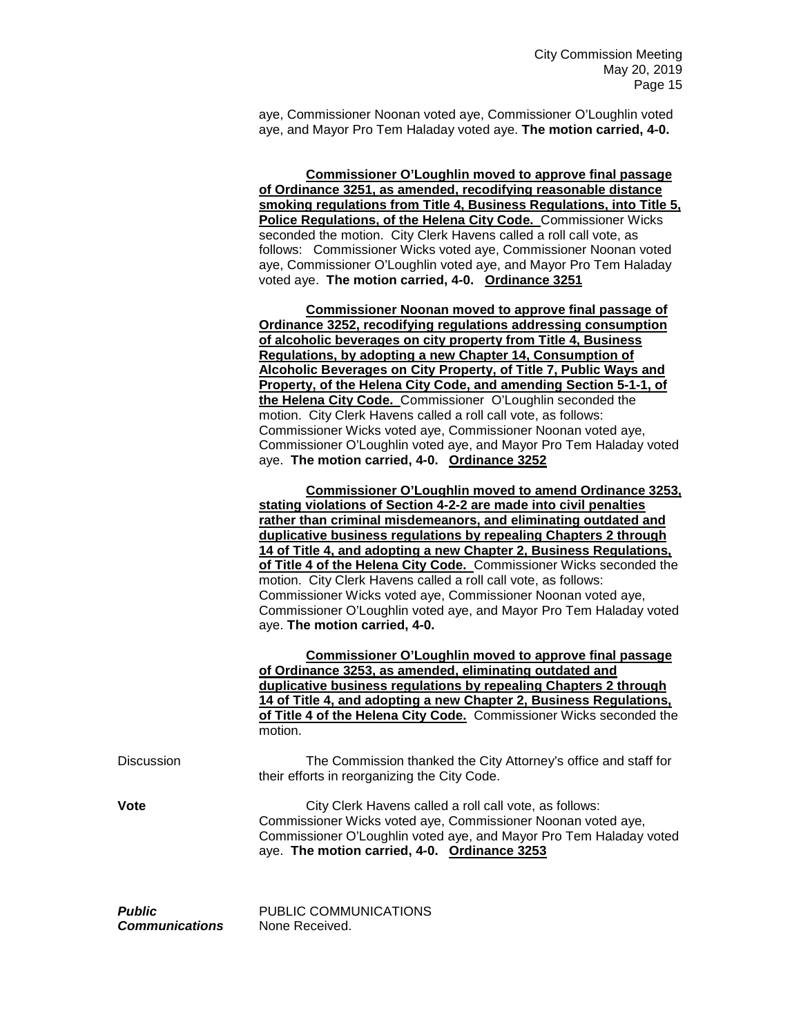aye, Commissioner Noonan voted aye, Commissioner O'Loughlin voted aye, and Mayor Pro Tem Haladay voted aye. **The motion carried, 4-0.** 

**Commissioner O'Loughlin moved to approve final passage of Ordinance 3251, as amended, recodifying reasonable distance smoking regulations from Title 4, Business Regulations, into Title 5, Police Regulations, of the Helena City Code.** Commissioner Wicks seconded the motion. City Clerk Havens called a roll call vote, as follows: Commissioner Wicks voted aye, Commissioner Noonan voted aye, Commissioner O'Loughlin voted aye, and Mayor Pro Tem Haladay voted aye. **The motion carried, 4-0. Ordinance 3251**

**Commissioner Noonan moved to approve final passage of Ordinance 3252, recodifying regulations addressing consumption of alcoholic beverages on city property from Title 4, Business Regulations, by adopting a new Chapter 14, Consumption of Alcoholic Beverages on City Property, of Title 7, Public Ways and Property, of the Helena City Code, and amending Section 5-1-1, of the Helena City Code.** Commissioner O'Loughlin seconded the motion. City Clerk Havens called a roll call vote, as follows: Commissioner Wicks voted aye, Commissioner Noonan voted aye, Commissioner O'Loughlin voted aye, and Mayor Pro Tem Haladay voted aye. **The motion carried, 4-0. Ordinance 3252**

**Commissioner O'Loughlin moved to amend Ordinance 3253, stating violations of Section 4-2-2 are made into civil penalties rather than criminal misdemeanors, and eliminating outdated and duplicative business regulations by repealing Chapters 2 through 14 of Title 4, and adopting a new Chapter 2, Business Regulations, of Title 4 of the Helena City Code.** Commissioner Wicks seconded the motion. City Clerk Havens called a roll call vote, as follows: Commissioner Wicks voted aye, Commissioner Noonan voted aye, Commissioner O'Loughlin voted aye, and Mayor Pro Tem Haladay voted aye. **The motion carried, 4-0.** 

**Commissioner O'Loughlin moved to approve final passage of Ordinance 3253, as amended, eliminating outdated and duplicative business regulations by repealing Chapters 2 through 14 of Title 4, and adopting a new Chapter 2, Business Regulations, of Title 4 of the Helena City Code.** Commissioner Wicks seconded the motion.

| <b>Discussion</b> | The Commission thanked the City Attorney's office and staff for |
|-------------------|-----------------------------------------------------------------|
|                   | their efforts in reorganizing the City Code.                    |

**Vote** City Clerk Havens called a roll call vote, as follows: Commissioner Wicks voted aye, Commissioner Noonan voted aye, Commissioner O'Loughlin voted aye, and Mayor Pro Tem Haladay voted aye. **The motion carried, 4-0. Ordinance 3253**

**Public** PUBLIC COMMUNICATIONS *Communications* None Received.